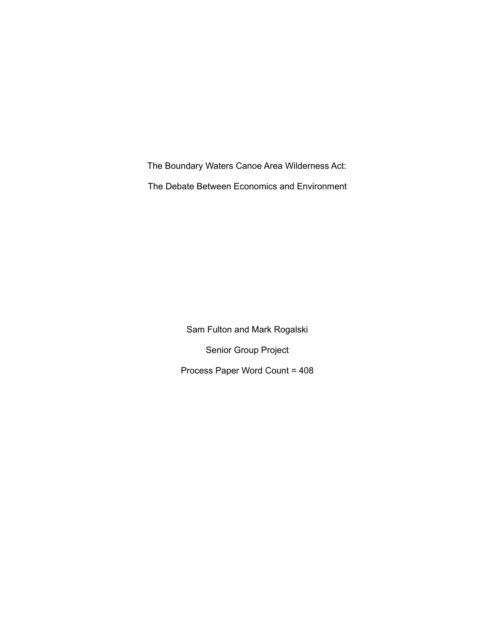The Boundary Waters Canoe Area Wilderness Act: The Debate Between Economics and Environment

> Sam Fulton and Mark Rogalski Senior Group Project Process Paper Word Count = 408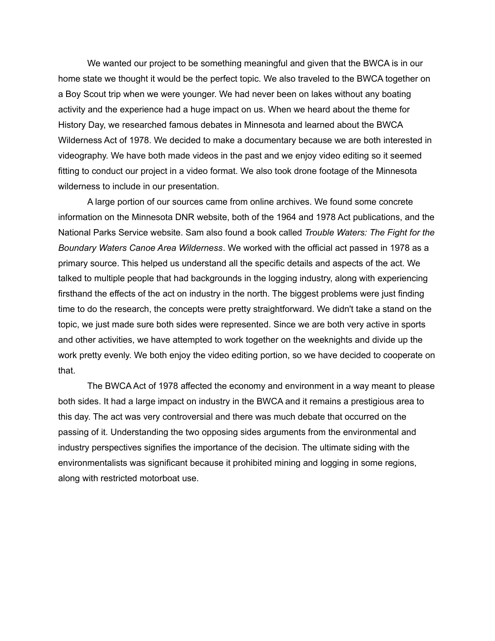We wanted our project to be something meaningful and given that the BWCA is in our home state we thought it would be the perfect topic. We also traveled to the BWCA together on a Boy Scout trip when we were younger. We had never been on lakes without any boating activity and the experience had a huge impact on us. When we heard about the theme for History Day, we researched famous debates in Minnesota and learned about the BWCA Wilderness Act of 1978. We decided to make a documentary because we are both interested in videography. We have both made videos in the past and we enjoy video editing so it seemed fitting to conduct our project in a video format. We also took drone footage of the Minnesota wilderness to include in our presentation.

A large portion of our sources came from online archives. We found some concrete information on the Minnesota DNR website, both of the 1964 and 1978 Act publications, and the National Parks Service website. Sam also found a book called *Trouble Waters: The Fight for the Boundary Waters Canoe Area Wilderness*. We worked with the official act passed in 1978 as a primary source. This helped us understand all the specific details and aspects of the act. We talked to multiple people that had backgrounds in the logging industry, along with experiencing firsthand the effects of the act on industry in the north. The biggest problems were just finding time to do the research, the concepts were pretty straightforward. We didn't take a stand on the topic, we just made sure both sides were represented. Since we are both very active in sports and other activities, we have attempted to work together on the weeknights and divide up the work pretty evenly. We both enjoy the video editing portion, so we have decided to cooperate on that.

The BWCA Act of 1978 affected the economy and environment in a way meant to please both sides. It had a large impact on industry in the BWCA and it remains a prestigious area to this day. The act was very controversial and there was much debate that occurred on the passing of it. Understanding the two opposing sides arguments from the environmental and industry perspectives signifies the importance of the decision. The ultimate siding with the environmentalists was significant because it prohibited mining and logging in some regions, along with restricted motorboat use.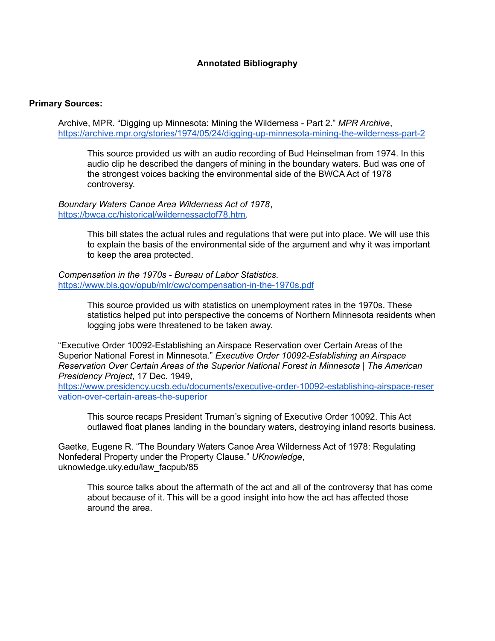## **Annotated Bibliography**

## **Primary Sources:**

Archive, MPR. "Digging up Minnesota: Mining the Wilderness - Part 2." *MPR Archive*, <https://archive.mpr.org/stories/1974/05/24/digging-up-minnesota-mining-the-wilderness-part-2>

This source provided us with an audio recording of Bud Heinselman from 1974. In this audio clip he described the dangers of mining in the boundary waters. Bud was one of the strongest voices backing the environmental side of the BWCA Act of 1978 controversy.

*Boundary Waters Canoe Area Wilderness Act of 1978*, [https://bwca.cc/historical/wildernessactof78.htm.](https://bwca.cc/historical/wildernessactof78.htm)

> This bill states the actual rules and regulations that were put into place. We will use this to explain the basis of the environmental side of the argument and why it was important to keep the area protected.

*Compensation in the 1970s - Bureau of Labor Statistics*. <https://www.bls.gov/opub/mlr/cwc/compensation-in-the-1970s.pdf>

> This source provided us with statistics on unemployment rates in the 1970s. These statistics helped put into perspective the concerns of Northern Minnesota residents when logging jobs were threatened to be taken away.

"Executive Order 10092-Establishing an Airspace Reservation over Certain Areas of the Superior National Forest in Minnesota." *Executive Order 10092-Establishing an Airspace Reservation Over Certain Areas of the Superior National Forest in Minnesota | The American Presidency Project*, 17 Dec. 1949,

[https://www.presidency.ucsb.edu/documents/executive-order-10092-establishing-airspace-reser](https://www.presidency.ucsb.edu/documents/executive-order-10092-establishing-airspace-reservation-over-certain-areas-the-superior.) [vation-over-certain-areas-the-superior](https://www.presidency.ucsb.edu/documents/executive-order-10092-establishing-airspace-reservation-over-certain-areas-the-superior.)

This source recaps President Truman's signing of Executive Order 10092. This Act outlawed float planes landing in the boundary waters, destroying inland resorts business.

Gaetke, Eugene R. "The Boundary Waters Canoe Area Wilderness Act of 1978: Regulating Nonfederal Property under the Property Clause." *UKnowledge*, uknowledge.uky.edu/law\_facpub/85

This source talks about the aftermath of the act and all of the controversy that has come about because of it. This will be a good insight into how the act has affected those around the area.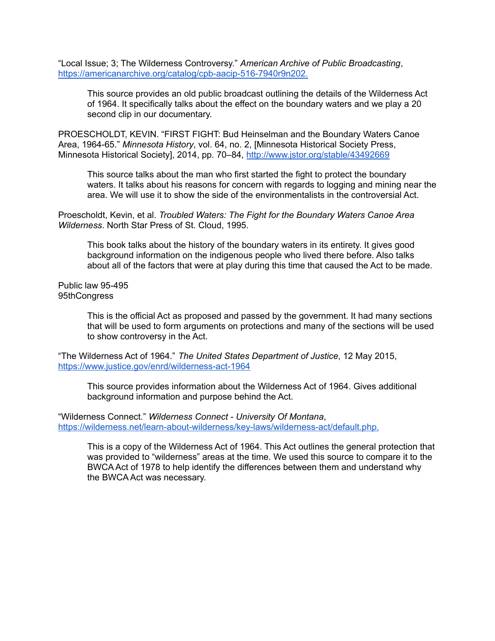"Local Issue; 3; The Wilderness Controversy." *American Archive of Public Broadcasting*, <https://americanarchive.org/catalog/cpb-aacip-516-7940r9n202.>

This source provides an old public broadcast outlining the details of the Wilderness Act of 1964. It specifically talks about the effect on the boundary waters and we play a 20 second clip in our documentary.

PROESCHOLDT, KEVIN. "FIRST FIGHT: Bud Heinselman and the Boundary Waters Canoe Area, 1964-65." *Minnesota History*, vol. 64, no. 2, [Minnesota Historical Society Press, Minnesota Historical Society], 2014, pp. 70–84, <http://www.jstor.org/stable/43492669>

This source talks about the man who first started the fight to protect the boundary waters. It talks about his reasons for concern with regards to logging and mining near the area. We will use it to show the side of the environmentalists in the controversial Act.

Proescholdt, Kevin, et al. *Troubled Waters: The Fight for the Boundary Waters Canoe Area Wilderness*. North Star Press of St. Cloud, 1995.

This book talks about the history of the boundary waters in its entirety. It gives good background information on the indigenous people who lived there before. Also talks about all of the factors that were at play during this time that caused the Act to be made.

Public law 95-495 95thCongress

> This is the official Act as proposed and passed by the government. It had many sections that will be used to form arguments on protections and many of the sections will be used to show controversy in the Act.

"The Wilderness Act of 1964." *The United States Department of Justice*, 12 May 2015, [https://www.justice.gov/enrd/wilderness-act-1964](https://www.justice.gov/enrd/wilderness-act-1964#:~:text=Mindful%20of%20our%20%E2%80%9Cincreasing%20population,benefits%20of%20wilderness.%E2%80%9D%2011%20U.S.C.)

This source provides information about the Wilderness Act of 1964. Gives additional background information and purpose behind the Act.

"Wilderness Connect." *Wilderness Connect - University Of Montana*, <https://wilderness.net/learn-about-wilderness/key-laws/wilderness-act/default.php.>

This is a copy of the Wilderness Act of 1964. This Act outlines the general protection that was provided to "wilderness" areas at the time. We used this source to compare it to the BWCA Act of 1978 to help identify the differences between them and understand why the BWCA Act was necessary.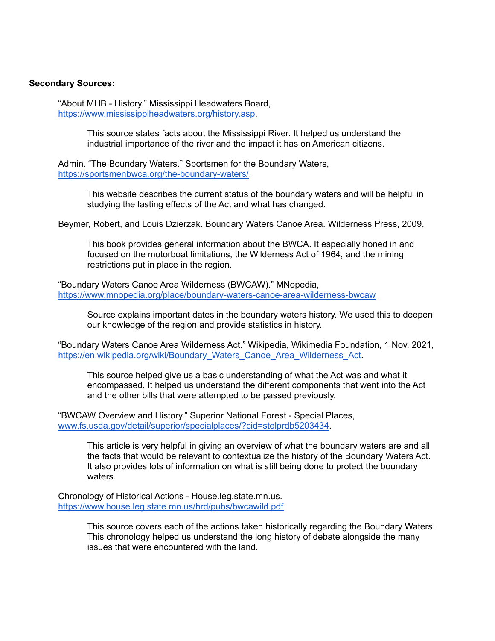## **Secondary Sources:**

"About MHB - History." Mississippi Headwaters Board, [https://www.mississippiheadwaters.org/history.asp.](https://www.mississippiheadwaters.org/history.asp)

> This source states facts about the Mississippi River. It helped us understand the industrial importance of the river and the impact it has on American citizens.

Admin. "The Boundary Waters." Sportsmen for the Boundary Waters, [https://sportsmenbwca.org/the-boundary-waters/.](https://sportsmenbwca.org/the-boundary-waters/)

> This website describes the current status of the boundary waters and will be helpful in studying the lasting effects of the Act and what has changed.

Beymer, Robert, and Louis Dzierzak. Boundary Waters Canoe Area. Wilderness Press, 2009.

This book provides general information about the BWCA. It especially honed in and focused on the motorboat limitations, the Wilderness Act of 1964, and the mining restrictions put in place in the region.

"Boundary Waters Canoe Area Wilderness (BWCAW)." MNopedia, <https://www.mnopedia.org/place/boundary-waters-canoe-area-wilderness-bwcaw>

Source explains important dates in the boundary waters history. We used this to deepen our knowledge of the region and provide statistics in history.

"Boundary Waters Canoe Area Wilderness Act." Wikipedia, Wikimedia Foundation, 1 Nov. 2021, https://en.wikipedia.org/wiki/Boundary\_Waters\_Canoe\_Area\_Wilderness\_Act

This source helped give us a basic understanding of what the Act was and what it encompassed. It helped us understand the different components that went into the Act and the other bills that were attempted to be passed previously.

"BWCAW Overview and History." Superior National Forest - Special Places, [www.fs.usda.gov/detail/superior/specialplaces/?cid=stelprdb5203434](http://www.fs.usda.gov/detail/superior/specialplaces/?cid=stelprdb5203434).

This article is very helpful in giving an overview of what the boundary waters are and all the facts that would be relevant to contextualize the history of the Boundary Waters Act. It also provides lots of information on what is still being done to protect the boundary waters.

Chronology of Historical Actions - House.leg.state.mn.us. <https://www.house.leg.state.mn.us/hrd/pubs/bwcawild.pdf>

> This source covers each of the actions taken historically regarding the Boundary Waters. This chronology helped us understand the long history of debate alongside the many issues that were encountered with the land.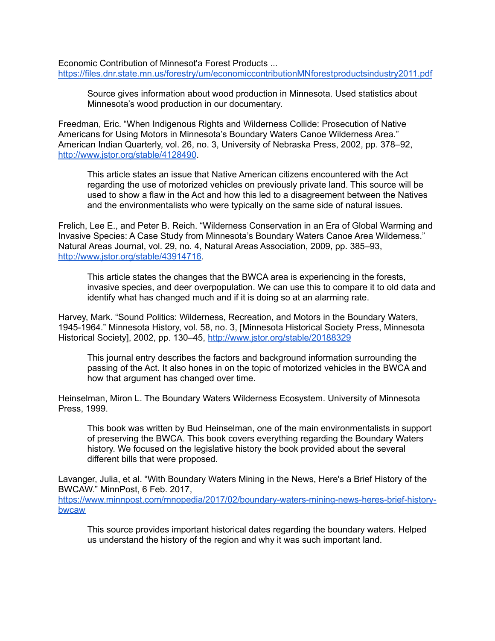Economic Contribution of Minnesot'a Forest Products ... <https://files.dnr.state.mn.us/forestry/um/economiccontributionMNforestproductsindustry2011.pdf>

Source gives information about wood production in Minnesota. Used statistics about Minnesota's wood production in our documentary.

Freedman, Eric. "When Indigenous Rights and Wilderness Collide: Prosecution of Native Americans for Using Motors in Minnesota's Boundary Waters Canoe Wilderness Area." American Indian Quarterly, vol. 26, no. 3, University of Nebraska Press, 2002, pp. 378–92, <http://www.jstor.org/stable/4128490>.

This article states an issue that Native American citizens encountered with the Act regarding the use of motorized vehicles on previously private land. This source will be used to show a flaw in the Act and how this led to a disagreement between the Natives and the environmentalists who were typically on the same side of natural issues.

Frelich, Lee E., and Peter B. Reich. "Wilderness Conservation in an Era of Global Warming and Invasive Species: A Case Study from Minnesota's Boundary Waters Canoe Area Wilderness." Natural Areas Journal, vol. 29, no. 4, Natural Areas Association, 2009, pp. 385–93, <http://www.jstor.org/stable/43914716>.

This article states the changes that the BWCA area is experiencing in the forests, invasive species, and deer overpopulation. We can use this to compare it to old data and identify what has changed much and if it is doing so at an alarming rate.

Harvey, Mark. "Sound Politics: Wilderness, Recreation, and Motors in the Boundary Waters, 1945-1964." Minnesota History, vol. 58, no. 3, [Minnesota Historical Society Press, Minnesota Historical Society], 2002, pp. 130-45, <http://www.jstor.org/stable/20188329>

This journal entry describes the factors and background information surrounding the passing of the Act. It also hones in on the topic of motorized vehicles in the BWCA and how that argument has changed over time.

Heinselman, Miron L. The Boundary Waters Wilderness Ecosystem. University of Minnesota Press, 1999.

This book was written by Bud Heinselman, one of the main environmentalists in support of preserving the BWCA. This book covers everything regarding the Boundary Waters history. We focused on the legislative history the book provided about the several different bills that were proposed.

Lavanger, Julia, et al. "With Boundary Waters Mining in the News, Here's a Brief History of the BWCAW." MinnPost, 6 Feb. 2017,

[https://www.minnpost.com/mnopedia/2017/02/boundary-waters-mining-news-heres-brief-history](https://www.minnpost.com/mnopedia/2017/02/boundary-waters-mining-news-heres-brief-history-bwcaw)[bwcaw](https://www.minnpost.com/mnopedia/2017/02/boundary-waters-mining-news-heres-brief-history-bwcaw)

This source provides important historical dates regarding the boundary waters. Helped us understand the history of the region and why it was such important land.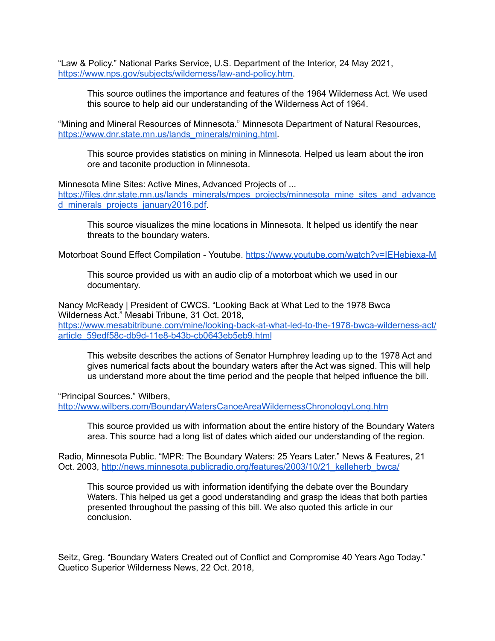"Law & Policy." National Parks Service, U.S. Department of the Interior, 24 May 2021, [https://www.nps.gov/subjects/wilderness/law-and-policy.htm.](https://www.nps.gov/subjects/wilderness/law-and-policy.htm)

This source outlines the importance and features of the 1964 Wilderness Act. We used this source to help aid our understanding of the Wilderness Act of 1964.

"Mining and Mineral Resources of Minnesota." Minnesota Department of Natural Resources, [https://www.dnr.state.mn.us/lands\\_minerals/mining.html.](https://www.dnr.state.mn.us/lands_minerals/mining.html)

This source provides statistics on mining in Minnesota. Helped us learn about the iron ore and taconite production in Minnesota.

Minnesota Mine Sites: Active Mines, Advanced Projects of ...

[https://files.dnr.state.mn.us/lands\\_minerals/mpes\\_projects/minnesota\\_mine\\_sites\\_and\\_advance](https://files.dnr.state.mn.us/lands_minerals/mpes_projects/minnesota_mine_sites_and_advanced_minerals_projects_january2016.pdf) [d\\_minerals\\_projects\\_january2016.pdf](https://files.dnr.state.mn.us/lands_minerals/mpes_projects/minnesota_mine_sites_and_advanced_minerals_projects_january2016.pdf)

This source visualizes the mine locations in Minnesota. It helped us identify the near threats to the boundary waters.

Motorboat Sound Effect Compilation - Youtube. <https://www.youtube.com/watch?v=IEHebiexa-M>

This source provided us with an audio clip of a motorboat which we used in our documentary.

Nancy McReady | President of CWCS. "Looking Back at What Led to the 1978 Bwca Wilderness Act." Mesabi Tribune, 31 Oct. 2018, [https://www.mesabitribune.com/mine/looking-back-at-what-led-to-the-1978-bwca-wilderness-act/](https://www.mesabitribune.com/mine/looking-back-at-what-led-to-the-1978-bwca-wilderness-act/article_59edf58c-db9d-11e8-b43b-cb0643eb5eb9.html#//) [article\\_59edf58c-db9d-11e8-b43b-cb0643eb5eb9.html](https://www.mesabitribune.com/mine/looking-back-at-what-led-to-the-1978-bwca-wilderness-act/article_59edf58c-db9d-11e8-b43b-cb0643eb5eb9.html#//)

This website describes the actions of Senator Humphrey leading up to the 1978 Act and gives numerical facts about the boundary waters after the Act was signed. This will help us understand more about the time period and the people that helped influence the bill.

"Principal Sources." Wilbers,

<http://www.wilbers.com/BoundaryWatersCanoeAreaWildernessChronologyLong.htm>

This source provided us with information about the entire history of the Boundary Waters area. This source had a long list of dates which aided our understanding of the region.

Radio, Minnesota Public. "MPR: The Boundary Waters: 25 Years Later." News & Features, 21 Oct. 2003, [http://news.minnesota.publicradio.org/features/2003/10/21\\_kelleherb\\_bwca/](http://news.minnesota.publicradio.org/features/2003/10/21_kelleherb_bwca/)

This source provided us with information identifying the debate over the Boundary Waters. This helped us get a good understanding and grasp the ideas that both parties presented throughout the passing of this bill. We also quoted this article in our conclusion.

Seitz, Greg. "Boundary Waters Created out of Conflict and Compromise 40 Years Ago Today." Quetico Superior Wilderness News, 22 Oct. 2018,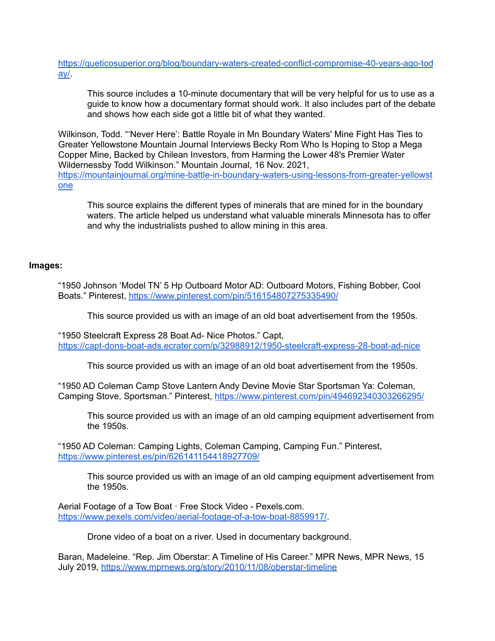[https://queticosuperior.org/blog/boundary-waters-created-conflict-compromise-40-years-ago-tod](https://queticosuperior.org/blog/boundary-waters-created-conflict-compromise-40-years-ago-today/) [ay/.](https://queticosuperior.org/blog/boundary-waters-created-conflict-compromise-40-years-ago-today/)

This source includes a 10-minute documentary that will be very helpful for us to use as a guide to know how a documentary format should work. It also includes part of the debate and shows how each side got a little bit of what they wanted.

Wilkinson, Todd. "'Never Here': Battle Royale in Mn Boundary Waters' Mine Fight Has Ties to Greater Yellowstone Mountain Journal Interviews Becky Rom Who Is Hoping to Stop a Mega Copper Mine, Backed by Chilean Investors, from Harming the Lower 48's Premier Water Wildernessby Todd Wilkinson." Mountain Journal, 16 Nov. 2021, [https://mountainjournal.org/mine-battle-in-boundary-waters-using-lessons-from-greater-yellowst](https://mountainjournal.org/mine-battle-in-boundary-waters-using-lessons-from-greater-yellowstone) [one](https://mountainjournal.org/mine-battle-in-boundary-waters-using-lessons-from-greater-yellowstone)

This source explains the different types of minerals that are mined for in the boundary waters. The article helped us understand what valuable minerals Minnesota has to offer and why the industrialists pushed to allow mining in this area.

## **Images:**

"1950 Johnson 'Model TN' 5 Hp Outboard Motor AD: Outboard Motors, Fishing Bobber, Cool Boats." Pinterest, <https://www.pinterest.com/pin/516154807275335490/>

This source provided us with an image of an old boat advertisement from the 1950s.

"1950 Steelcraft Express 28 Boat Ad- Nice Photos." Capt, <https://capt-dons-boat-ads.ecrater.com/p/32988912/1950-steelcraft-express-28-boat-ad-nice>

This source provided us with an image of an old boat advertisement from the 1950s.

"1950 AD Coleman Camp Stove Lantern Andy Devine Movie Star Sportsman Ya: Coleman, Camping Stove, Sportsman." Pinterest, <https://www.pinterest.com/pin/494692340303266295/>

This source provided us with an image of an old camping equipment advertisement from the 1950s.

"1950 AD Coleman: Camping Lights, Coleman Camping, Camping Fun." Pinterest, <https://www.pinterest.es/pin/626141154418927709/>

This source provided us with an image of an old camping equipment advertisement from the 1950s.

Aerial Footage of a Tow Boat · Free Stock Video - Pexels.com. <https://www.pexels.com/video/aerial-footage-of-a-tow-boat-8859917/>.

Drone video of a boat on a river. Used in documentary background.

Baran, Madeleine. "Rep. Jim Oberstar: A Timeline of His Career." MPR News, MPR News, 15 July 2019, <https://www.mprnews.org/story/2010/11/08/oberstar-timeline>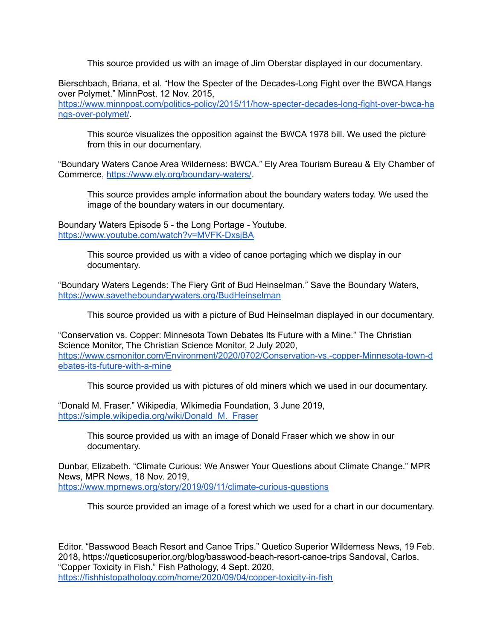This source provided us with an image of Jim Oberstar displayed in our documentary.

Bierschbach, Briana, et al. "How the Specter of the Decades-Long Fight over the BWCA Hangs over Polymet." MinnPost, 12 Nov. 2015, [https://www.minnpost.com/politics-policy/2015/11/how-specter-decades-long-fight-over-bwca-ha](https://www.minnpost.com/politics-policy/2015/11/how-specter-decades-long-fight-over-bwca-hangs-over-polymet/) [ngs-over-polymet/.](https://www.minnpost.com/politics-policy/2015/11/how-specter-decades-long-fight-over-bwca-hangs-over-polymet/)

This source visualizes the opposition against the BWCA 1978 bill. We used the picture from this in our documentary.

"Boundary Waters Canoe Area Wilderness: BWCA." Ely Area Tourism Bureau & Ely Chamber of Commerce, <https://www.ely.org/boundary-waters/>.

This source provides ample information about the boundary waters today. We used the image of the boundary waters in our documentary.

Boundary Waters Episode 5 - the Long Portage - Youtube. <https://www.youtube.com/watch?v=MVFK-DxsjBA>

> This source provided us with a video of canoe portaging which we display in our documentary.

"Boundary Waters Legends: The Fiery Grit of Bud Heinselman." Save the Boundary Waters, <https://www.savetheboundarywaters.org/BudHeinselman>

This source provided us with a picture of Bud Heinselman displayed in our documentary.

"Conservation vs. Copper: Minnesota Town Debates Its Future with a Mine." The Christian Science Monitor, The Christian Science Monitor, 2 July 2020, [https://www.csmonitor.com/Environment/2020/0702/Conservation-vs.-copper-Minnesota-town-d](https://www.csmonitor.com/Environment/2020/0702/Conservation-vs.-copper-Minnesota-town-debates-its-future-with-a-mine) [ebates-its-future-with-a-mine](https://www.csmonitor.com/Environment/2020/0702/Conservation-vs.-copper-Minnesota-town-debates-its-future-with-a-mine)

This source provided us with pictures of old miners which we used in our documentary.

"Donald M. Fraser." Wikipedia, Wikimedia Foundation, 3 June 2019, [https://simple.wikipedia.org/wiki/Donald\\_M.\\_Fraser](https://simple.wikipedia.org/wiki/Donald_M._Fraser)

> This source provided us with an image of Donald Fraser which we show in our documentary.

Dunbar, Elizabeth. "Climate Curious: We Answer Your Questions about Climate Change." MPR News, MPR News, 18 Nov. 2019, <https://www.mprnews.org/story/2019/09/11/climate-curious-questions>

This source provided an image of a forest which we used for a chart in our documentary.

Editor. "Basswood Beach Resort and Canoe Trips." Quetico Superior Wilderness News, 19 Feb. 2018, https://queticosuperior.org/blog/basswood-beach-resort-canoe-trips Sandoval, Carlos. "Copper Toxicity in Fish." Fish Pathology, 4 Sept. 2020, <https://fishhistopathology.com/home/2020/09/04/copper-toxicity-in-fish>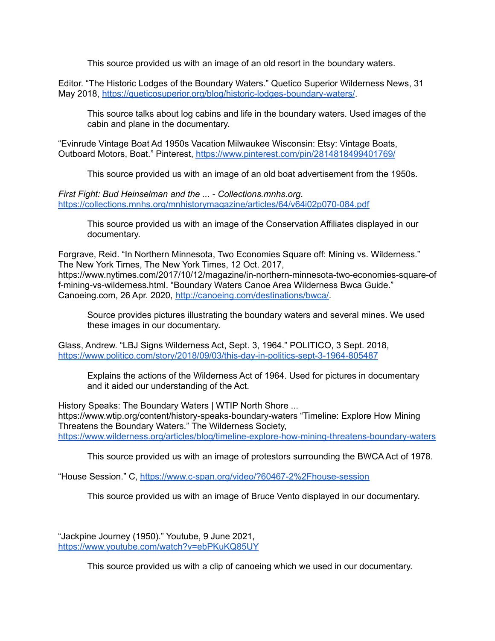This source provided us with an image of an old resort in the boundary waters.

Editor. "The Historic Lodges of the Boundary Waters." Quetico Superior Wilderness News, 31 May 2018, <https://queticosuperior.org/blog/historic-lodges-boundary-waters/>.

This source talks about log cabins and life in the boundary waters. Used images of the cabin and plane in the documentary.

"Evinrude Vintage Boat Ad 1950s Vacation Milwaukee Wisconsin: Etsy: Vintage Boats, Outboard Motors, Boat." Pinterest, <https://www.pinterest.com/pin/2814818499401769/>

This source provided us with an image of an old boat advertisement from the 1950s.

*First Fight: Bud Heinselman and the ... - Collections.mnhs.org*. <https://collections.mnhs.org/mnhistorymagazine/articles/64/v64i02p070-084.pdf>

This source provided us with an image of the Conservation Affiliates displayed in our documentary.

Forgrave, Reid. "In Northern Minnesota, Two Economies Square off: Mining vs. Wilderness." The New York Times, The New York Times, 12 Oct. 2017, https://www.nytimes.com/2017/10/12/magazine/in-northern-minnesota-two-economies-square-of f-mining-vs-wilderness.html. "Boundary Waters Canoe Area Wilderness Bwca Guide." Canoeing.com, 26 Apr. 2020, [http://canoeing.com/destinations/bwca/.](http://canoeing.com/destinations/bwca/)

Source provides pictures illustrating the boundary waters and several mines. We used these images in our documentary.

Glass, Andrew. "LBJ Signs Wilderness Act, Sept. 3, 1964." POLITICO, 3 Sept. 2018, <https://www.politico.com/story/2018/09/03/this-day-in-politics-sept-3-1964-805487>

Explains the actions of the Wilderness Act of 1964. Used for pictures in documentary and it aided our understanding of the Act.

History Speaks: The Boundary Waters | WTIP North Shore ... https://www.wtip.org/content/history-speaks-boundary-waters "Timeline: Explore How Mining Threatens the Boundary Waters." The Wilderness Society, <https://www.wilderness.org/articles/blog/timeline-explore-how-mining-threatens-boundary-waters>

This source provided us with an image of protestors surrounding the BWCA Act of 1978.

"House Session." C, <https://www.c-span.org/video/?60467-2%2Fhouse-session>

This source provided us with an image of Bruce Vento displayed in our documentary.

"Jackpine Journey (1950)." Youtube, 9 June 2021, <https://www.youtube.com/watch?v=ebPKuKQ85UY>

This source provided us with a clip of canoeing which we used in our documentary.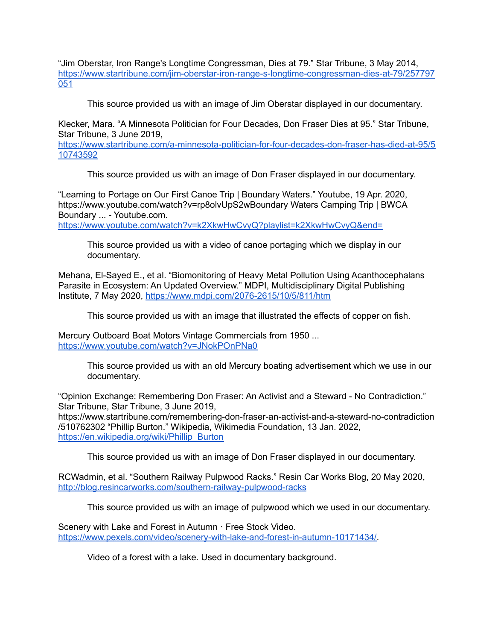"Jim Oberstar, Iron Range's Longtime Congressman, Dies at 79." Star Tribune, 3 May 2014, [https://www.startribune.com/jim-oberstar-iron-range-s-longtime-congressman-dies-at-79/257797](https://www.startribune.com/jim-oberstar-iron-range-s-longtime-congressman-dies-at-79/257797051) [051](https://www.startribune.com/jim-oberstar-iron-range-s-longtime-congressman-dies-at-79/257797051)

This source provided us with an image of Jim Oberstar displayed in our documentary.

Klecker, Mara. "A Minnesota Politician for Four Decades, Don Fraser Dies at 95." Star Tribune, Star Tribune, 3 June 2019,

[https://www.startribune.com/a-minnesota-politician-for-four-decades-don-fraser-has-died-at-95/5](https://www.startribune.com/a-minnesota-politician-for-four-decades-don-fraser-has-died-at-95/510743592) [10743592](https://www.startribune.com/a-minnesota-politician-for-four-decades-don-fraser-has-died-at-95/510743592)

This source provided us with an image of Don Fraser displayed in our documentary.

"Learning to Portage on Our First Canoe Trip | Boundary Waters." Youtube, 19 Apr. 2020, https://www.youtube.com/watch?v=rp8olvUpS2wBoundary Waters Camping Trip | BWCA Boundary ... - Youtube.com.

<https://www.youtube.com/watch?v=k2XkwHwCvyQ?playlist=k2XkwHwCvyQ&end=>

This source provided us with a video of canoe portaging which we display in our documentary.

Mehana, El-Sayed E., et al. "Biomonitoring of Heavy Metal Pollution Using Acanthocephalans Parasite in Ecosystem: An Updated Overview." MDPI, Multidisciplinary Digital Publishing Institute, 7 May 2020, <https://www.mdpi.com/2076-2615/10/5/811/htm>

This source provided us with an image that illustrated the effects of copper on fish.

Mercury Outboard Boat Motors Vintage Commercials from 1950 ... <https://www.youtube.com/watch?v=JNokPOnPNa0>

> This source provided us with an old Mercury boating advertisement which we use in our documentary.

"Opinion Exchange: Remembering Don Fraser: An Activist and a Steward - No Contradiction." Star Tribune, Star Tribune, 3 June 2019,

https://www.startribune.com/remembering-don-fraser-an-activist-and-a-steward-no-contradiction /510762302 "Phillip Burton." Wikipedia, Wikimedia Foundation, 13 Jan. 2022, [https://en.wikipedia.org/wiki/Phillip\\_Burton](https://en.wikipedia.org/wiki/Phillip_Burton)

This source provided us with an image of Don Fraser displayed in our documentary.

RCWadmin, et al. "Southern Railway Pulpwood Racks." Resin Car Works Blog, 20 May 2020, <http://blog.resincarworks.com/southern-railway-pulpwood-racks>

This source provided us with an image of pulpwood which we used in our documentary.

Scenery with Lake and Forest in Autumn · Free Stock Video. <https://www.pexels.com/video/scenery-with-lake-and-forest-in-autumn-10171434/>.

Video of a forest with a lake. Used in documentary background.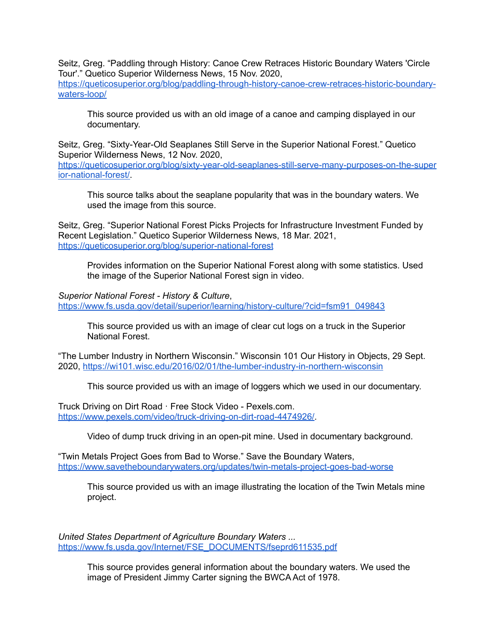Seitz, Greg. "Paddling through History: Canoe Crew Retraces Historic Boundary Waters 'Circle Tour'." Quetico Superior Wilderness News, 15 Nov. 2020, [https://queticosuperior.org/blog/paddling-through-history-canoe-crew-retraces-historic-boundary](https://queticosuperior.org/blog/paddling-through-history-canoe-crew-retraces-historic-boundary-waters-loop/)[waters-loop/](https://queticosuperior.org/blog/paddling-through-history-canoe-crew-retraces-historic-boundary-waters-loop/)

This source provided us with an old image of a canoe and camping displayed in our documentary.

Seitz, Greg. "Sixty-Year-Old Seaplanes Still Serve in the Superior National Forest." Quetico Superior Wilderness News, 12 Nov. 2020, [https://queticosuperior.org/blog/sixty-year-old-seaplanes-still-serve-many-purposes-on-the-super](https://queticosuperior.org/blog/sixty-year-old-seaplanes-still-serve-many-purposes-on-the-superior-national-forest/) [ior-national-forest/.](https://queticosuperior.org/blog/sixty-year-old-seaplanes-still-serve-many-purposes-on-the-superior-national-forest/)

This source talks about the seaplane popularity that was in the boundary waters. We used the image from this source.

Seitz, Greg. "Superior National Forest Picks Projects for Infrastructure Investment Funded by Recent Legislation." Quetico Superior Wilderness News, 18 Mar. 2021, <https://queticosuperior.org/blog/superior-national-forest>

Provides information on the Superior National Forest along with some statistics. Used the image of the Superior National Forest sign in video.

*Superior National Forest - History & Culture*, [https://www.fs.usda.gov/detail/superior/learning/history-culture/?cid=fsm91\\_049843](https://www.fs.usda.gov/detail/superior/learning/history-culture/?cid=fsm91_049843)

This source provided us with an image of clear cut logs on a truck in the Superior National Forest.

"The Lumber Industry in Northern Wisconsin." Wisconsin 101 Our History in Objects, 29 Sept. 2020, <https://wi101.wisc.edu/2016/02/01/the-lumber-industry-in-northern-wisconsin>

This source provided us with an image of loggers which we used in our documentary.

Truck Driving on Dirt Road · Free Stock Video - Pexels.com. <https://www.pexels.com/video/truck-driving-on-dirt-road-4474926/>.

Video of dump truck driving in an open-pit mine. Used in documentary background.

"Twin Metals Project Goes from Bad to Worse." Save the Boundary Waters, <https://www.savetheboundarywaters.org/updates/twin-metals-project-goes-bad-worse>

This source provided us with an image illustrating the location of the Twin Metals mine project.

*United States Department of Agriculture Boundary Waters ...* [https://www.fs.usda.gov/Internet/FSE\\_DOCUMENTS/fseprd611535.pdf](https://www.fs.usda.gov/Internet/FSE_DOCUMENTS/fseprd611535.pdf.)

> This source provides general information about the boundary waters. We used the image of President Jimmy Carter signing the BWCA Act of 1978.